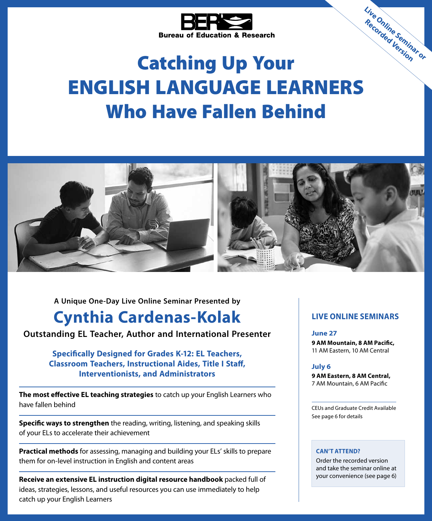

# Catching Up Your ENGLISH LANGUAGE LEARNERS Who Have Fallen Behind **Live Online Seminar or Recorded Version**



**A Unique One-Day Live Online Seminar Presented by**

## **Cynthia Cardenas-Kolak**

**Outstanding EL Teacher, Author and International Presenter**

**Specifically Designed for Grades K-12: EL Teachers, Classroom Teachers, Instructional Aides, Title I Staff, Interventionists, and Administrators**

**The most effective EL teaching strategies** to catch up your English Learners who have fallen behind

**Specific ways to strengthen** the reading, writing, listening, and speaking skills of your ELs to accelerate their achievement

**Practical methods** for assessing, managing and building your ELs' skills to prepare them for on-level instruction in English and content areas

**Receive an extensive EL instruction digital resource handbook** packed full of ideas, strategies, lessons, and useful resources you can use immediately to help catch up your English Learners

#### **LIVE ONLINE SEMINARS**

**June 27 9 AM Mountain, 8 AM Pacific,** 11 AM Eastern, 10 AM Central

#### **July 6**

**9 AM Eastern, 8 AM Central,** 7 AM Mountain, 6 AM Pacific

CEUs and Graduate Credit Available See page 6 for details

#### **CAN'T ATTEND?**

Order the recorded version and take the seminar online at your convenience (see page 6)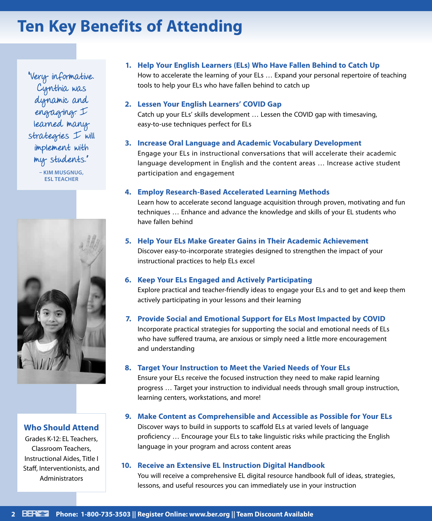## **Ten Key Benefits of Attending**

"Very informative. Cynthia was dynamic and engaging. I learned many strategies I will implement with my students."

**– KIM MUSGNUG, ESL TEACHER**



#### **Who Should Attend**

Grades K-12: EL Teachers, Classroom Teachers, Instructional Aides, Title I Staff, Interventionists, and Administrators

#### **1. Help Your English Learners (ELs) Who Have Fallen Behind to Catch Up**

How to accelerate the learning of your ELs … Expand your personal repertoire of teaching tools to help your ELs who have fallen behind to catch up

#### **2. Lessen Your English Learners' COVID Gap**

Catch up your ELs' skills development … Lessen the COVID gap with timesaving, easy-to-use techniques perfect for ELs

#### **3. Increase Oral Language and Academic Vocabulary Development**

Engage your ELs in instructional conversations that will accelerate their academic language development in English and the content areas … Increase active student participation and engagement

#### **4. Employ Research-Based Accelerated Learning Methods**

Learn how to accelerate second language acquisition through proven, motivating and fun techniques … Enhance and advance the knowledge and skills of your EL students who have fallen behind

#### **5. Help Your ELs Make Greater Gains in Their Academic Achievement**

Discover easy-to-incorporate strategies designed to strengthen the impact of your instructional practices to help ELs excel

#### **6. Keep Your ELs Engaged and Actively Participating**

Explore practical and teacher-friendly ideas to engage your ELs and to get and keep them actively participating in your lessons and their learning

#### **7. Provide Social and Emotional Support for ELs Most Impacted by COVID**

Incorporate practical strategies for supporting the social and emotional needs of ELs who have suffered trauma, are anxious or simply need a little more encouragement and understanding

#### **8. Target Your Instruction to Meet the Varied Needs of Your ELs**

Ensure your ELs receive the focused instruction they need to make rapid learning progress … Target your instruction to individual needs through small group instruction, learning centers, workstations, and more!

#### **9. Make Content as Comprehensible and Accessible as Possible for Your ELs**

Discover ways to build in supports to scaffold ELs at varied levels of language proficiency … Encourage your ELs to take linguistic risks while practicing the English language in your program and across content areas

#### **10. Receive an Extensive EL Instruction Digital Handbook**

You will receive a comprehensive EL digital resource handbook full of ideas, strategies, lessons, and useful resources you can immediately use in your instruction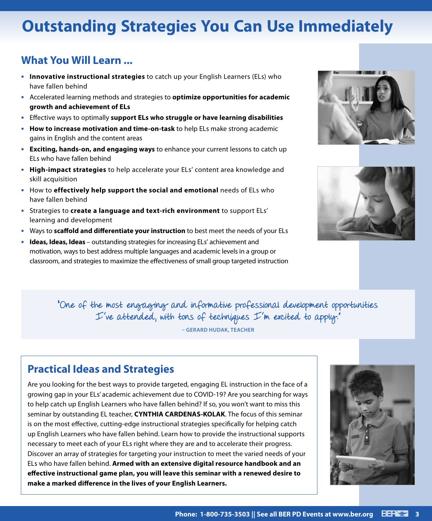## **Outstanding Strategies You Can Use Immediately**

### **What You Will Learn ...**

- **• Innovative instructional strategies** to catch up your English Learners (ELs) who have fallen behind
- **•** Accelerated learning methods and strategies to **optimize opportunities for academic growth and achievement of ELs**
- **•** Effective ways to optimally **support ELs who struggle or have learning disabilities**
- **• How to increase motivation and time-on-task** to help ELs make strong academic gains in English and the content areas
- **• Exciting, hands-on, and engaging ways** to enhance your current lessons to catch up ELs who have fallen behind
- **• High-impact strategies** to help accelerate your ELs' content area knowledge and skill acquisition
- **•** How to **effectively help support the social and emotional** needs of ELs who have fallen behind
- **•** Strategies to **create a language and text-rich environment** to support ELs' learning and development
- **•** Ways to **scaffold and differentiate your instruction** to best meet the needs of your ELs
- **• Ideas, Ideas, Ideas**  outstanding strategies for increasing ELs' achievement and motivation, ways to best address multiple languages and academic levels in a group or classroom, and strategies to maximize the effectiveness of small group targeted instruction





"One of the most engaging and informative professional development opportunities I've attended, with tons of techniques I'm excited to apply."

**– GERARD HUDAK, TEACHER**

### **Practical Ideas and Strategies**

Are you looking for the best ways to provide targeted, engaging EL instruction in the face of a growing gap in your ELs' academic achievement due to COVID-19? Are you searching for ways to help catch up English Learners who have fallen behind? If so, you won't want to miss this seminar by outstanding EL teacher, **CYNTHIA CARDENAS-KOLAK**. The focus of this seminar is on the most effective, cutting-edge instructional strategies specifically for helping catch up English Learners who have fallen behind. Learn how to provide the instructional supports necessary to meet each of your ELs right where they are and to accelerate their progress. Discover an array of strategies for targeting your instruction to meet the varied needs of your ELs who have fallen behind. **Armed with an extensive digital resource handbook and an effective instructional game plan, you will leave this seminar with a renewed desire to make a marked difference in the lives of your English Learners.**

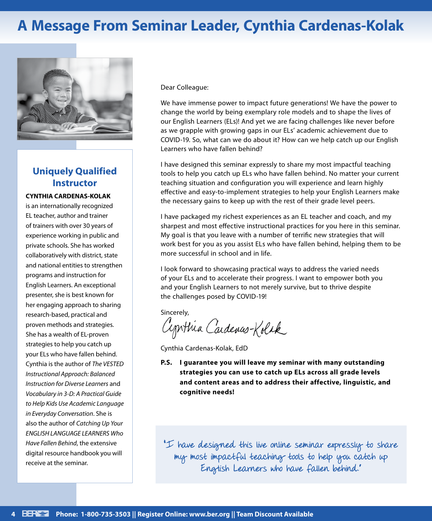## **A Message From Seminar Leader, Cynthia Cardenas-Kolak**



### **Uniquely Qualified Instructor**

#### **CYNTHIA CARDENAS-KOLAK**

is an internationally recognized EL teacher, author and trainer of trainers with over 30 years of experience working in public and private schools. She has worked collaboratively with district, state and national entities to strengthen programs and instruction for English Learners. An exceptional presenter, she is best known for her engaging approach to sharing research-based, practical and proven methods and strategies. She has a wealth of EL-proven strategies to help you catch up your ELs who have fallen behind. Cynthia is the author of *The VESTED Instructional Approach: Balanced Instruction for Diverse Learners* and *Vocabulary in 3-D: A Practical Guide to Help Kids Use Academic Language in Everyday Conversation*. She is also the author of *Catching Up Your ENGLISH LANGUAGE LEARNERS Who Have Fallen Behind*, the extensive digital resource handbook you will receive at the seminar.

Dear Colleague:

We have immense power to impact future generations! We have the power to change the world by being exemplary role models and to shape the lives of our English Learners (ELs)! And yet we are facing challenges like never before as we grapple with growing gaps in our ELs' academic achievement due to COVID-19. So, what can we do about it? How can we help catch up our English Learners who have fallen behind?

I have designed this seminar expressly to share my most impactful teaching tools to help you catch up ELs who have fallen behind. No matter your current teaching situation and configuration you will experience and learn highly effective and easy-to-implement strategies to help your English Learners make the necessary gains to keep up with the rest of their grade level peers.

I have packaged my richest experiences as an EL teacher and coach, and my sharpest and most effective instructional practices for you here in this seminar. My goal is that you leave with a number of terrific new strategies that will work best for you as you assist ELs who have fallen behind, helping them to be more successful in school and in life.

I look forward to showcasing practical ways to address the varied needs of your ELs and to accelerate their progress. I want to empower both you and your English Learners to not merely survive, but to thrive despite the challenges posed by COVID-19!

Sincerely,

Cynthia Cardenas-Kolck

Cynthia Cardenas-Kolak, EdD

**P.S. I guarantee you will leave my seminar with many outstanding strategies you can use to catch up ELs across all grade levels and content areas and to address their affective, linguistic, and cognitive needs!**

"I have designed this live online seminar expressly to share my most impactful teaching tools to help you catch up English Learners who have fallen behind."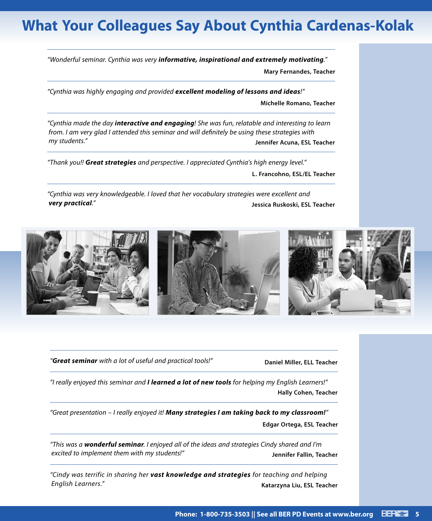## **What Your Colleagues Say About Cynthia Cardenas-Kolak**

*"Wonderful seminar. Cynthia was very informative, inspirational and extremely motivating."* **Mary Fernandes, Teacher**

*"Cynthia was highly engaging and provided excellent modeling of lessons and ideas!"*

**Michelle Romano, Teacher**

*"Cynthia made the day interactive and engaging! She was fun, relatable and interesting to learn from. I am very glad I attended this seminar and will definitely be using these strategies with my students."* **Jennifer Acuna, ESL Teacher**

*"Thank you!! Great strategies and perspective. I appreciated Cynthia's high energy level."*

**L. Francohno, ESL/EL Teacher**

*"Cynthia was very knowledgeable. I loved that her vocabulary strategies were excellent and very practical."* **Jessica Ruskoski, ESL Teacher**



*"Great seminar with a lot of useful and practical tools!"* **Daniel Miller, ELL Teacher**

*"I really enjoyed this seminar and I learned a lot of new tools for helping my English Learners!"* **Hally Cohen, Teacher**

*"Great presentation – I really enjoyed it! Many strategies I am taking back to my classroom!"* **Edgar Ortega, ESL Teacher**

*"This was a wonderful seminar. I enjoyed all of the ideas and strategies Cindy shared and I'm excited to implement them with my students!"* **Jennifer Fallin, Teacher**

*"Cindy was terrific in sharing her vast knowledge and strategies for teaching and helping English Learners."* **Katarzyna Liu, ESL Teacher**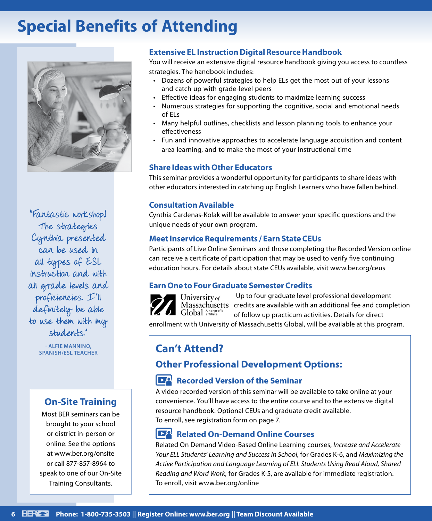## **Special Benefits of Attending**



"Fantastic workshop! The strategies Cynthia presented can be used in all types of ESL instruction and with all grade levels and proficiencies. I'll definitely be able to use them with my students."

**- ALFIE MANNINO,** 

### **On-Site Training**

Most BER seminars can be brought to your school or district in-person or online. See the options at www.ber.org/onsite or call 877-857-8964 to speak to one of our On-Site Training Consultants.

#### **Extensive EL Instruction Digital Resource Handbook**

You will receive an extensive digital resource handbook giving you access to countless strategies. The handbook includes:

- Dozens of powerful strategies to help ELs get the most out of your lessons and catch up with grade-level peers
- Effective ideas for engaging students to maximize learning success
- Numerous strategies for supporting the cognitive, social and emotional needs of ELs
- Many helpful outlines, checklists and lesson planning tools to enhance your effectiveness
- Fun and innovative approaches to accelerate language acquisition and content area learning, and to make the most of your instructional time

#### **Share Ideas with Other Educators**

This seminar provides a wonderful opportunity for participants to share ideas with other educators interested in catching up English Learners who have fallen behind.

#### **Consultation Available**

Cynthia Cardenas-Kolak will be available to answer your specific questions and the unique needs of your own program.

#### **Meet Inservice Requirements / Earn State CEUs**

Participants of Live Online Seminars and those completing the Recorded Version online can receive a certificate of participation that may be used to verify five continuing education hours. For details about state CEUs available, visit www.ber.org/ceus

#### **Earn One to Four Graduate Semester Credits**



Up to four graduate level professional development University of Massachusetts credits are available with an additional fee and completion Global Anonprofi of follow up practicum activities. Details for direct

enrollment with University of Massachusetts Global, will be available at this program.

### **SPANISH/ESL TEACHER Can't Attend?**

### **Other Professional Development Options:**

#### **Recorded Version of the Seminar**

A video recorded version of this seminar will be available to take online at your convenience. You'll have access to the entire course and to the extensive digital resource handbook. Optional CEUs and graduate credit available. To enroll, see registration form on page 7.

#### **DA Related On-Demand Online Courses**

Related On Demand Video-Based Online Learning courses, *Increase and Accelerate Your ELL Students' Learning and Success in School,* for Grades K-6, and *Maximizing the Active Participation and Language Learning of ELL Students Using Read Aloud, Shared Reading and Word Work,* for Grades K-5, are available for immediate registration. To enroll, visit www.ber.org/online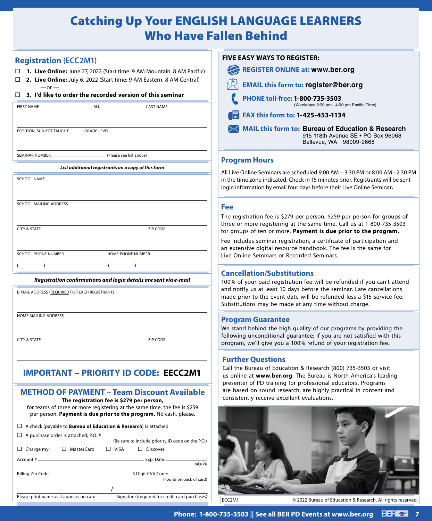## Catching Up Your ENGLISH LANGUAGE LEARNERS Who Have Fallen Behind

| $-or -$<br>□                                                                       |                                                    | 2. Live Online: July 6, 2022 (Start time: 9 AM Eastern, 8 AM Central)<br>3. I'd like to order the recorded version of this seminar             |  |
|------------------------------------------------------------------------------------|----------------------------------------------------|------------------------------------------------------------------------------------------------------------------------------------------------|--|
| <b>FIRST NAME</b>                                                                  | M.I.                                               | <b>LAST NAME</b>                                                                                                                               |  |
|                                                                                    |                                                    |                                                                                                                                                |  |
| POSITION, SUBJECT TAUGHT                                                           | <b>GRADE LEVEL</b>                                 |                                                                                                                                                |  |
| SEMINAR NUMBER:                                                                    |                                                    | (Please see list above)                                                                                                                        |  |
|                                                                                    | List additional registrants on a copy of this form |                                                                                                                                                |  |
| <b>SCHOOL NAME</b>                                                                 |                                                    |                                                                                                                                                |  |
| SCHOOL MAILING ADDRESS                                                             |                                                    |                                                                                                                                                |  |
|                                                                                    |                                                    |                                                                                                                                                |  |
| <b>CITY &amp; STATE</b>                                                            |                                                    | ZIP CODE                                                                                                                                       |  |
| <b>SCHOOL PHONE NUMBER</b>                                                         |                                                    | <b>HOME PHONE NUMBER</b>                                                                                                                       |  |
| €<br>$\lambda$                                                                     | €                                                  | $\mathcal{E}$                                                                                                                                  |  |
|                                                                                    |                                                    |                                                                                                                                                |  |
|                                                                                    |                                                    | Registration confirmations and login details are sent via e-mail                                                                               |  |
| E-MAIL ADDRESS (REQUIRED FOR EACH REGISTRANT)                                      |                                                    |                                                                                                                                                |  |
| HOME MAILING ADDRESS                                                               |                                                    |                                                                                                                                                |  |
|                                                                                    |                                                    |                                                                                                                                                |  |
| <b>CITY &amp; STATE</b>                                                            |                                                    | ZIP CODE                                                                                                                                       |  |
|                                                                                    |                                                    |                                                                                                                                                |  |
|                                                                                    |                                                    | <b>IMPORTANT - PRIORITY ID CODE: EECC2M1</b>                                                                                                   |  |
|                                                                                    | The registration fee is \$279 per person,          | <b>METHOD OF PAYMENT - Team Discount Available</b>                                                                                             |  |
|                                                                                    |                                                    | for teams of three or more registering at the same time, the fee is \$259<br>per person. Payment is due prior to the program. No cash, please. |  |
| $\Box$ A check (payable to <b>Bureau of Education &amp; Research</b> ) is attached |                                                    |                                                                                                                                                |  |
| $\Box$ A purchase order is attached, P.O. # $\Box$                                 |                                                    | (Be sure to include priority ID code on the P.O.)                                                                                              |  |
|                                                                                    |                                                    | $\square$ Discover                                                                                                                             |  |
| $\Box$ Charge my:                                                                  | □ MasterCard<br>$\Box$ VISA                        |                                                                                                                                                |  |
| Account #                                                                          |                                                    | <b>Exp. Date:</b><br>MO/YR                                                                                                                     |  |

 $P$ lease print name as it appears on card Signature (required for credit card purchases)

#### **FASY WAYS TO REGISTER:**

| <b>REGISTER ONLINE at: www.ber.org</b>                                                                                        |
|-------------------------------------------------------------------------------------------------------------------------------|
| <b>EMAIL this form to: register@ber.org</b>                                                                                   |
| PHONE toll-free: 1-800-735-3503<br>(Weekdays 5:30 am - 4:00 pm Pacific Time)                                                  |
| FAX this form to: 1-425-453-1134                                                                                              |
| <b>MAIL this form to: Bureau of Education &amp; Research</b><br>915 118th Avenue SE . PO Box 96068<br>Bellevue, WA 98009-9668 |

#### **Program Hours**

e Online Seminars are scheduled 9:00 AM - 3:30 PM or 8:00 AM - 2:30 PM time zone indicated. Check in 15 minutes prior. Registrants will be sent information by email four days before their Live Online Seminar.

egistration fee is \$279 per person, \$259 per person for groups of or more registering at the same time. Call us at 1-800-735-3503 roups of ten or more. Payment is due prior to the program.

ncludes seminar registration, a certificate of participation and tensive digital resource handbook. The fee is the same for Online Seminars or Recorded Seminars.

#### **Cancellation/Substitutions**

of your paid registration fee will be refunded if you can't attend otify us at least 10 days before the seminar. Late cancellations prior to the event date will be refunded less a \$15 service fee. itutions may be made at any time without charge.

#### **Program Guarantee**

and behind the high quality of our programs by providing the ving unconditional guarantee: If you are not satisfied with this am, we'll give you a 100% refund of your registration fee.

#### **Further Questions**

the Bureau of Education & Research (800) 735-3503 or visit nline at www.ber.org. The Bureau is North America's leading enter of PD training for professional educators. Programs ased on sound research, are highly practical in content and stently receive excellent evaluations.



ECC2M1 © 2022 Bureau of Education & Research. All rights reserved.